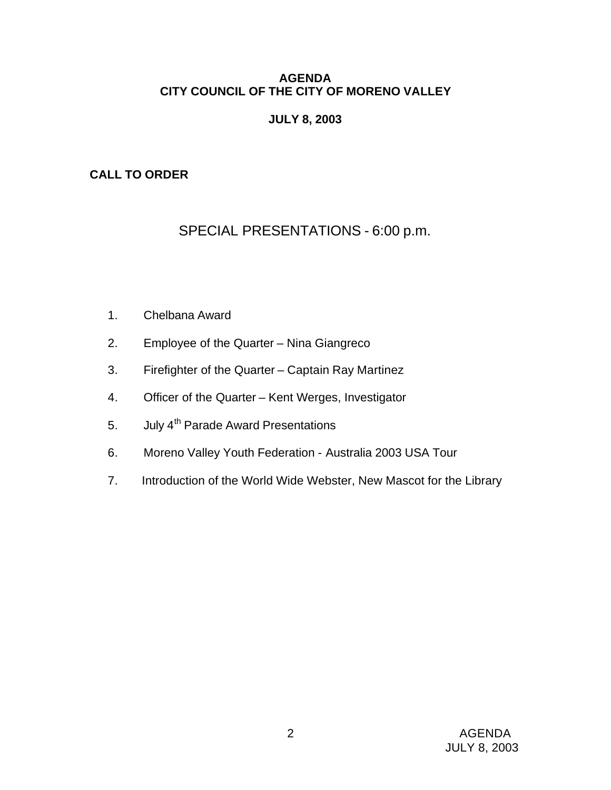# **AGENDA CITY COUNCIL OF THE CITY OF MORENO VALLEY**

# **JULY 8, 2003**

# **CALL TO ORDER**

# SPECIAL PRESENTATIONS - 6:00 p.m.

- 1. Chelbana Award
- 2. Employee of the Quarter Nina Giangreco
- 3. Firefighter of the Quarter Captain Ray Martinez
- 4. Officer of the Quarter Kent Werges, Investigator
- 5. July 4<sup>th</sup> Parade Award Presentations
- 6. Moreno Valley Youth Federation Australia 2003 USA Tour
- 7. Introduction of the World Wide Webster, New Mascot for the Library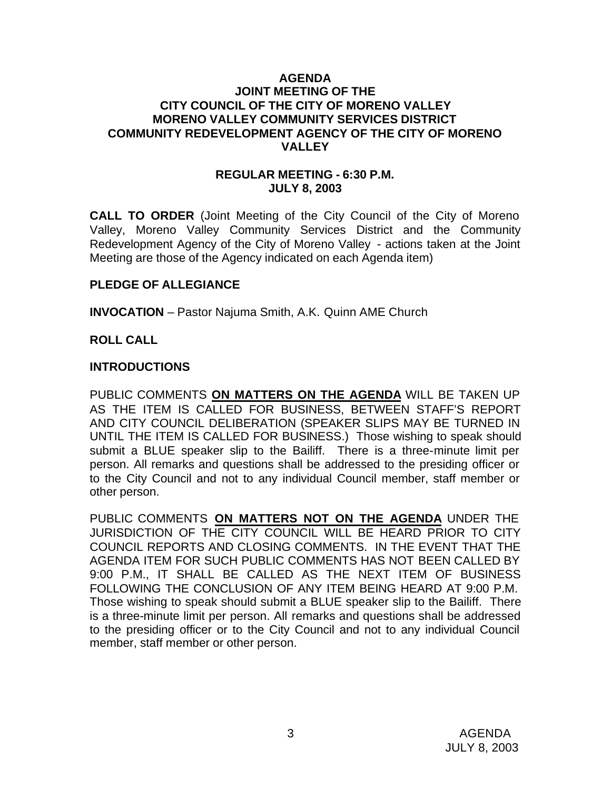### **AGENDA JOINT MEETING OF THE CITY COUNCIL OF THE CITY OF MORENO VALLEY MORENO VALLEY COMMUNITY SERVICES DISTRICT COMMUNITY REDEVELOPMENT AGENCY OF THE CITY OF MORENO VALLEY**

### **REGULAR MEETING - 6:30 P.M. JULY 8, 2003**

**CALL TO ORDER** (Joint Meeting of the City Council of the City of Moreno Valley, Moreno Valley Community Services District and the Community Redevelopment Agency of the City of Moreno Valley - actions taken at the Joint Meeting are those of the Agency indicated on each Agenda item)

# **PLEDGE OF ALLEGIANCE**

**INVOCATION** – Pastor Najuma Smith, A.K. Quinn AME Church

### **ROLL CALL**

### **INTRODUCTIONS**

PUBLIC COMMENTS **ON MATTERS ON THE AGENDA** WILL BE TAKEN UP AS THE ITEM IS CALLED FOR BUSINESS, BETWEEN STAFF'S REPORT AND CITY COUNCIL DELIBERATION (SPEAKER SLIPS MAY BE TURNED IN UNTIL THE ITEM IS CALLED FOR BUSINESS.) Those wishing to speak should submit a BLUE speaker slip to the Bailiff. There is a three-minute limit per person. All remarks and questions shall be addressed to the presiding officer or to the City Council and not to any individual Council member, staff member or other person.

PUBLIC COMMENTS **ON MATTERS NOT ON THE AGENDA** UNDER THE JURISDICTION OF THE CITY COUNCIL WILL BE HEARD PRIOR TO CITY COUNCIL REPORTS AND CLOSING COMMENTS. IN THE EVENT THAT THE AGENDA ITEM FOR SUCH PUBLIC COMMENTS HAS NOT BEEN CALLED BY 9:00 P.M., IT SHALL BE CALLED AS THE NEXT ITEM OF BUSINESS FOLLOWING THE CONCLUSION OF ANY ITEM BEING HEARD AT 9:00 P.M. Those wishing to speak should submit a BLUE speaker slip to the Bailiff. There is a three-minute limit per person. All remarks and questions shall be addressed to the presiding officer or to the City Council and not to any individual Council member, staff member or other person.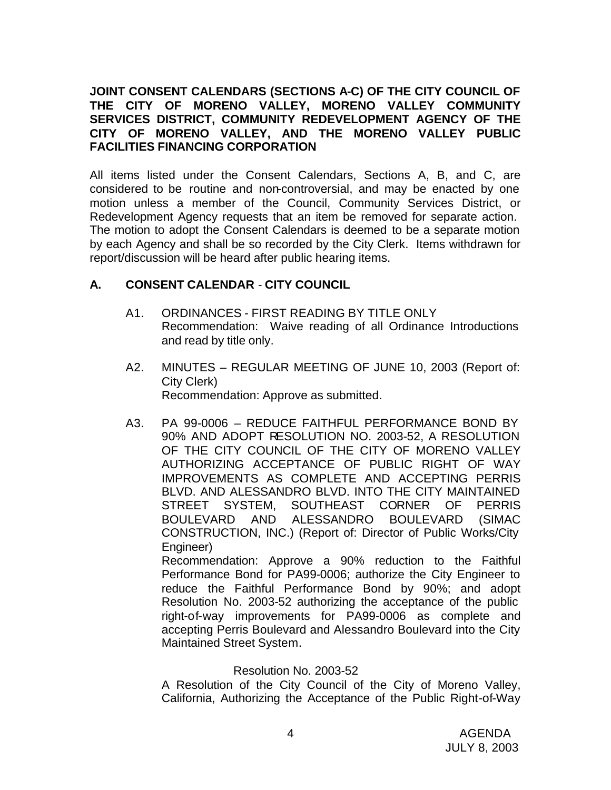# **JOINT CONSENT CALENDARS (SECTIONS A-C) OF THE CITY COUNCIL OF THE CITY OF MORENO VALLEY, MORENO VALLEY COMMUNITY SERVICES DISTRICT, COMMUNITY REDEVELOPMENT AGENCY OF THE CITY OF MORENO VALLEY, AND THE MORENO VALLEY PUBLIC FACILITIES FINANCING CORPORATION**

All items listed under the Consent Calendars, Sections A, B, and C, are considered to be routine and non-controversial, and may be enacted by one motion unless a member of the Council, Community Services District, or Redevelopment Agency requests that an item be removed for separate action. The motion to adopt the Consent Calendars is deemed to be a separate motion by each Agency and shall be so recorded by the City Clerk. Items withdrawn for report/discussion will be heard after public hearing items.

# **A. CONSENT CALENDAR** - **CITY COUNCIL**

- A1. ORDINANCES FIRST READING BY TITLE ONLY Recommendation: Waive reading of all Ordinance Introductions and read by title only.
- A2. MINUTES REGULAR MEETING OF JUNE 10, 2003 (Report of: City Clerk) Recommendation: Approve as submitted.
- A3. PA 99-0006 REDUCE FAITHFUL PERFORMANCE BOND BY 90% AND ADOPT RESOLUTION NO. 2003-52, A RESOLUTION OF THE CITY COUNCIL OF THE CITY OF MORENO VALLEY AUTHORIZING ACCEPTANCE OF PUBLIC RIGHT OF WAY IMPROVEMENTS AS COMPLETE AND ACCEPTING PERRIS BLVD. AND ALESSANDRO BLVD. INTO THE CITY MAINTAINED STREET SYSTEM, SOUTHEAST CORNER OF PERRIS BOULEVARD AND ALESSANDRO BOULEVARD (SIMAC CONSTRUCTION, INC.) (Report of: Director of Public Works/City Engineer)

Recommendation: Approve a 90% reduction to the Faithful Performance Bond for PA99-0006; authorize the City Engineer to reduce the Faithful Performance Bond by 90%; and adopt Resolution No. 2003-52 authorizing the acceptance of the public right-of-way improvements for PA99-0006 as complete and accepting Perris Boulevard and Alessandro Boulevard into the City Maintained Street System.

# Resolution No. 2003-52

A Resolution of the City Council of the City of Moreno Valley, California, Authorizing the Acceptance of the Public Right-of-Way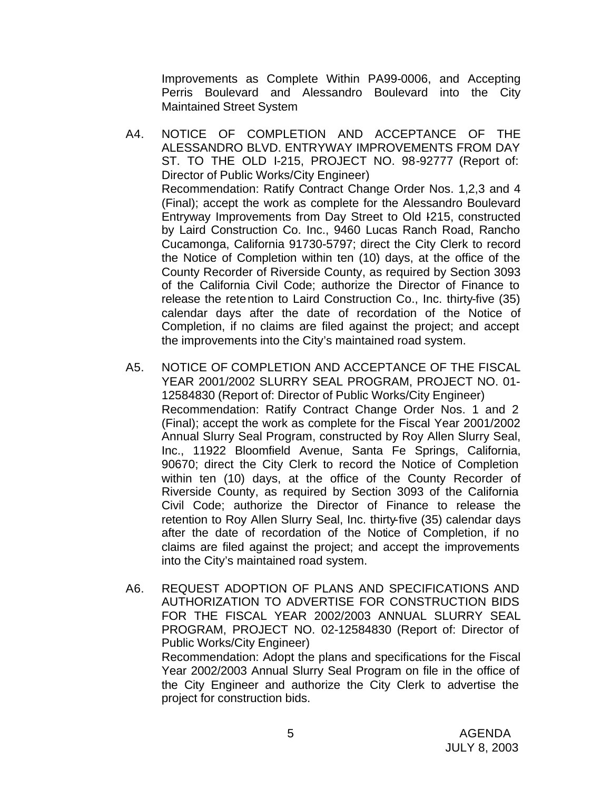Improvements as Complete Within PA99-0006, and Accepting Perris Boulevard and Alessandro Boulevard into the City Maintained Street System

- A4. NOTICE OF COMPLETION AND ACCEPTANCE OF THE ALESSANDRO BLVD. ENTRYWAY IMPROVEMENTS FROM DAY ST. TO THE OLD I-215, PROJECT NO. 98-92777 (Report of: Director of Public Works/City Engineer) Recommendation: Ratify Contract Change Order Nos. 1,2,3 and 4 (Final); accept the work as complete for the Alessandro Boulevard Entryway Improvements from Day Street to Old I-215, constructed by Laird Construction Co. Inc., 9460 Lucas Ranch Road, Rancho Cucamonga, California 91730-5797; direct the City Clerk to record the Notice of Completion within ten (10) days, at the office of the County Recorder of Riverside County, as required by Section 3093 of the California Civil Code; authorize the Director of Finance to release the retention to Laird Construction Co., Inc. thirty-five (35) calendar days after the date of recordation of the Notice of Completion, if no claims are filed against the project; and accept the improvements into the City's maintained road system.
- A5. NOTICE OF COMPLETION AND ACCEPTANCE OF THE FISCAL YEAR 2001/2002 SLURRY SEAL PROGRAM, PROJECT NO. 01- 12584830 (Report of: Director of Public Works/City Engineer) Recommendation: Ratify Contract Change Order Nos. 1 and 2 (Final); accept the work as complete for the Fiscal Year 2001/2002 Annual Slurry Seal Program, constructed by Roy Allen Slurry Seal, Inc., 11922 Bloomfield Avenue, Santa Fe Springs, California, 90670; direct the City Clerk to record the Notice of Completion within ten (10) days, at the office of the County Recorder of Riverside County, as required by Section 3093 of the California Civil Code; authorize the Director of Finance to release the retention to Roy Allen Slurry Seal, Inc. thirty-five (35) calendar days after the date of recordation of the Notice of Completion, if no claims are filed against the project; and accept the improvements into the City's maintained road system.
- A6. REQUEST ADOPTION OF PLANS AND SPECIFICATIONS AND AUTHORIZATION TO ADVERTISE FOR CONSTRUCTION BIDS FOR THE FISCAL YEAR 2002/2003 ANNUAL SLURRY SEAL PROGRAM, PROJECT NO. 02-12584830 (Report of: Director of Public Works/City Engineer) Recommendation: Adopt the plans and specifications for the Fiscal Year 2002/2003 Annual Slurry Seal Program on file in the office of the City Engineer and authorize the City Clerk to advertise the project for construction bids.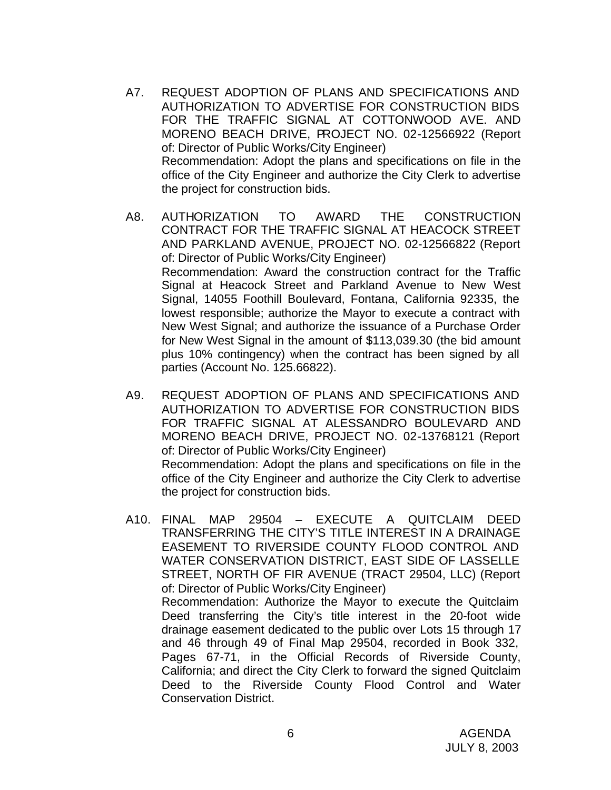- A7. REQUEST ADOPTION OF PLANS AND SPECIFICATIONS AND AUTHORIZATION TO ADVERTISE FOR CONSTRUCTION BIDS FOR THE TRAFFIC SIGNAL AT COTTONWOOD AVE. AND MORENO BEACH DRIVE, PROJECT NO. 02-12566922 (Report of: Director of Public Works/City Engineer) Recommendation: Adopt the plans and specifications on file in the office of the City Engineer and authorize the City Clerk to advertise the project for construction bids.
- A8. AUTHORIZATION TO AWARD THE CONSTRUCTION CONTRACT FOR THE TRAFFIC SIGNAL AT HEACOCK STREET AND PARKLAND AVENUE, PROJECT NO. 02-12566822 (Report of: Director of Public Works/City Engineer) Recommendation: Award the construction contract for the Traffic Signal at Heacock Street and Parkland Avenue to New West Signal, 14055 Foothill Boulevard, Fontana, California 92335, the lowest responsible; authorize the Mayor to execute a contract with New West Signal; and authorize the issuance of a Purchase Order for New West Signal in the amount of \$113,039.30 (the bid amount plus 10% contingency) when the contract has been signed by all parties (Account No. 125.66822).
- A9. REQUEST ADOPTION OF PLANS AND SPECIFICATIONS AND AUTHORIZATION TO ADVERTISE FOR CONSTRUCTION BIDS FOR TRAFFIC SIGNAL AT ALESSANDRO BOULEVARD AND MORENO BEACH DRIVE, PROJECT NO. 02-13768121 (Report of: Director of Public Works/City Engineer) Recommendation: Adopt the plans and specifications on file in the office of the City Engineer and authorize the City Clerk to advertise the project for construction bids.
- A10. FINAL MAP 29504 EXECUTE A QUITCLAIM DEED TRANSFERRING THE CITY'S TITLE INTEREST IN A DRAINAGE EASEMENT TO RIVERSIDE COUNTY FLOOD CONTROL AND WATER CONSERVATION DISTRICT, EAST SIDE OF LASSELLE STREET, NORTH OF FIR AVENUE (TRACT 29504, LLC) (Report of: Director of Public Works/City Engineer) Recommendation: Authorize the Mayor to execute the Quitclaim Deed transferring the City's title interest in the 20-foot wide drainage easement dedicated to the public over Lots 15 through 17 and 46 through 49 of Final Map 29504, recorded in Book 332, Pages 67-71, in the Official Records of Riverside County, California; and direct the City Clerk to forward the signed Quitclaim Deed to the Riverside County Flood Control and Water Conservation District.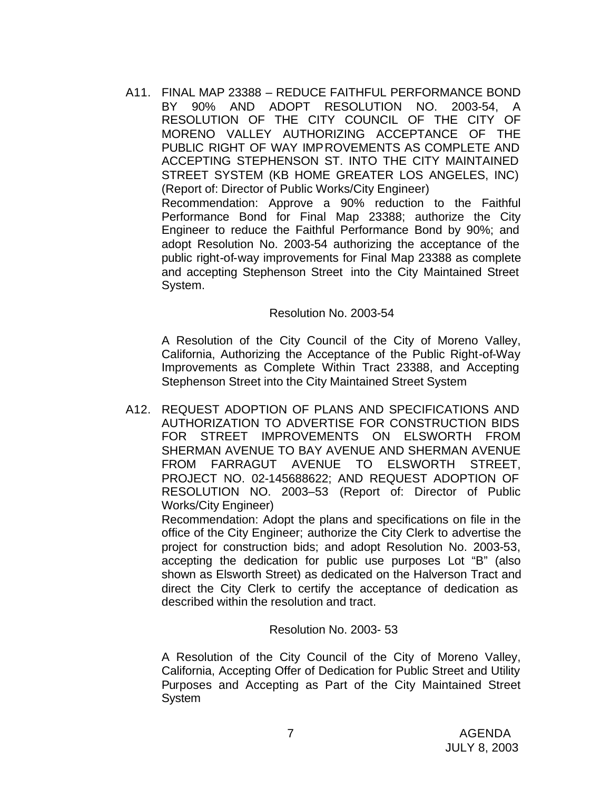A11. FINAL MAP 23388 – REDUCE FAITHFUL PERFORMANCE BOND BY 90% AND ADOPT RESOLUTION NO. 2003-54, A RESOLUTION OF THE CITY COUNCIL OF THE CITY OF MORENO VALLEY AUTHORIZING ACCEPTANCE OF THE PUBLIC RIGHT OF WAY IMPROVEMENTS AS COMPLETE AND ACCEPTING STEPHENSON ST. INTO THE CITY MAINTAINED STREET SYSTEM (KB HOME GREATER LOS ANGELES, INC) (Report of: Director of Public Works/City Engineer) Recommendation: Approve a 90% reduction to the Faithful Performance Bond for Final Map 23388; authorize the City Engineer to reduce the Faithful Performance Bond by 90%; and adopt Resolution No. 2003-54 authorizing the acceptance of the public right-of-way improvements for Final Map 23388 as complete and accepting Stephenson Street into the City Maintained Street System.

#### Resolution No. 2003-54

A Resolution of the City Council of the City of Moreno Valley, California, Authorizing the Acceptance of the Public Right-of-Way Improvements as Complete Within Tract 23388, and Accepting Stephenson Street into the City Maintained Street System

A12. REQUEST ADOPTION OF PLANS AND SPECIFICATIONS AND AUTHORIZATION TO ADVERTISE FOR CONSTRUCTION BIDS FOR STREET IMPROVEMENTS ON ELSWORTH FROM SHERMAN AVENUE TO BAY AVENUE AND SHERMAN AVENUE FROM FARRAGUT AVENUE TO ELSWORTH STREET, PROJECT NO. 02-145688622; AND REQUEST ADOPTION OF RESOLUTION NO. 2003–53 (Report of: Director of Public Works/City Engineer)

Recommendation: Adopt the plans and specifications on file in the office of the City Engineer; authorize the City Clerk to advertise the project for construction bids; and adopt Resolution No. 2003-53, accepting the dedication for public use purposes Lot "B" (also shown as Elsworth Street) as dedicated on the Halverson Tract and direct the City Clerk to certify the acceptance of dedication as described within the resolution and tract.

#### Resolution No. 2003- 53

A Resolution of the City Council of the City of Moreno Valley, California, Accepting Offer of Dedication for Public Street and Utility Purposes and Accepting as Part of the City Maintained Street System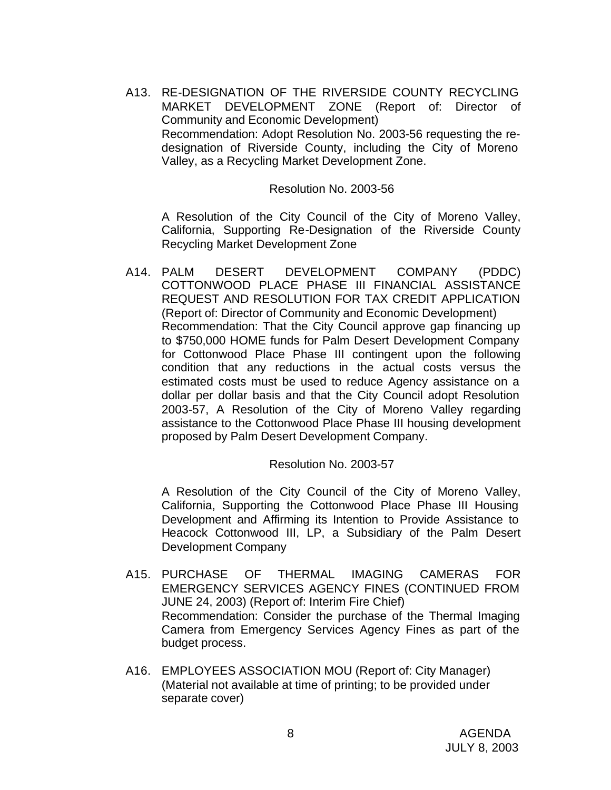A13. RE-DESIGNATION OF THE RIVERSIDE COUNTY RECYCLING MARKET DEVELOPMENT ZONE (Report of: Director of Community and Economic Development) Recommendation: Adopt Resolution No. 2003-56 requesting the redesignation of Riverside County, including the City of Moreno Valley, as a Recycling Market Development Zone.

#### Resolution No. 2003-56

A Resolution of the City Council of the City of Moreno Valley, California, Supporting Re-Designation of the Riverside County Recycling Market Development Zone

A14. PALM DESERT DEVELOPMENT COMPANY (PDDC) COTTONWOOD PLACE PHASE III FINANCIAL ASSISTANCE REQUEST AND RESOLUTION FOR TAX CREDIT APPLICATION (Report of: Director of Community and Economic Development) Recommendation: That the City Council approve gap financing up to \$750,000 HOME funds for Palm Desert Development Company for Cottonwood Place Phase III contingent upon the following condition that any reductions in the actual costs versus the estimated costs must be used to reduce Agency assistance on a dollar per dollar basis and that the City Council adopt Resolution 2003-57, A Resolution of the City of Moreno Valley regarding assistance to the Cottonwood Place Phase III housing development proposed by Palm Desert Development Company.

# Resolution No. 2003-57

A Resolution of the City Council of the City of Moreno Valley, California, Supporting the Cottonwood Place Phase III Housing Development and Affirming its Intention to Provide Assistance to Heacock Cottonwood III, LP, a Subsidiary of the Palm Desert Development Company

- A15. PURCHASE OF THERMAL IMAGING CAMERAS FOR EMERGENCY SERVICES AGENCY FINES (CONTINUED FROM JUNE 24, 2003) (Report of: Interim Fire Chief) Recommendation: Consider the purchase of the Thermal Imaging Camera from Emergency Services Agency Fines as part of the budget process.
- A16. EMPLOYEES ASSOCIATION MOU (Report of: City Manager) (Material not available at time of printing; to be provided under separate cover)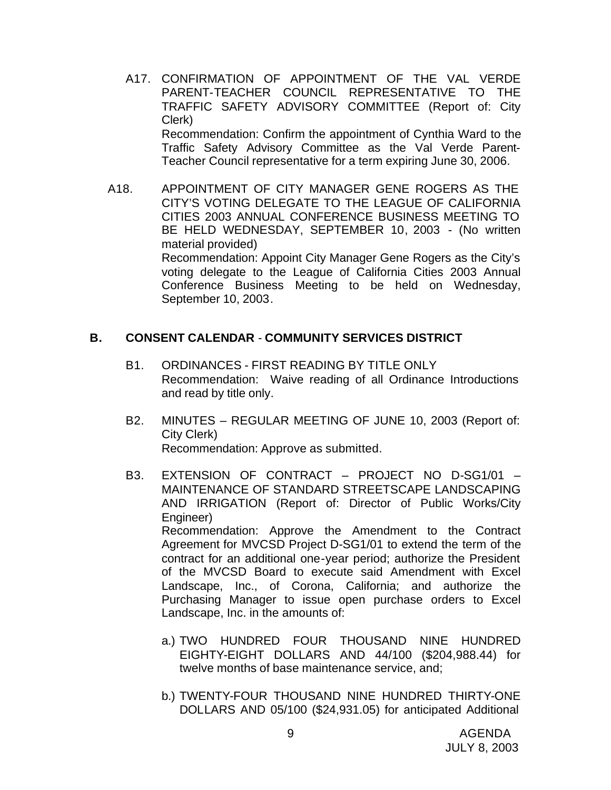- A17. CONFIRMATION OF APPOINTMENT OF THE VAL VERDE PARENT-TEACHER COUNCIL REPRESENTATIVE TO THE TRAFFIC SAFETY ADVISORY COMMITTEE (Report of: City Clerk) Recommendation: Confirm the appointment of Cynthia Ward to the Traffic Safety Advisory Committee as the Val Verde Parent-Teacher Council representative for a term expiring June 30, 2006.
- A18. APPOINTMENT OF CITY MANAGER GENE ROGERS AS THE CITY'S VOTING DELEGATE TO THE LEAGUE OF CALIFORNIA CITIES 2003 ANNUAL CONFERENCE BUSINESS MEETING TO BE HELD WEDNESDAY, SEPTEMBER 10, 2003 - (No written material provided) Recommendation: Appoint City Manager Gene Rogers as the City's voting delegate to the League of California Cities 2003 Annual Conference Business Meeting to be held on Wednesday, September 10, 2003.

### **B. CONSENT CALENDAR** - **COMMUNITY SERVICES DISTRICT**

- B1. ORDINANCES FIRST READING BY TITLE ONLY Recommendation: Waive reading of all Ordinance Introductions and read by title only.
- B2. MINUTES REGULAR MEETING OF JUNE 10, 2003 (Report of: City Clerk) Recommendation: Approve as submitted.
- B3. EXTENSION OF CONTRACT PROJECT NO D-SG1/01 MAINTENANCE OF STANDARD STREETSCAPE LANDSCAPING AND IRRIGATION (Report of: Director of Public Works/City Engineer) Recommendation: Approve the Amendment to the Contract Agreement for MVCSD Project D-SG1/01 to extend the term of the contract for an additional one-year period; authorize the President of the MVCSD Board to execute said Amendment with Excel Landscape, Inc., of Corona, California; and authorize the Purchasing Manager to issue open purchase orders to Excel Landscape, Inc. in the amounts of:
	- a.) TWO HUNDRED FOUR THOUSAND NINE HUNDRED EIGHTY-EIGHT DOLLARS AND 44/100 (\$204,988.44) for twelve months of base maintenance service, and;
	- b.) TWENTY-FOUR THOUSAND NINE HUNDRED THIRTY-ONE DOLLARS AND 05/100 (\$24,931.05) for anticipated Additional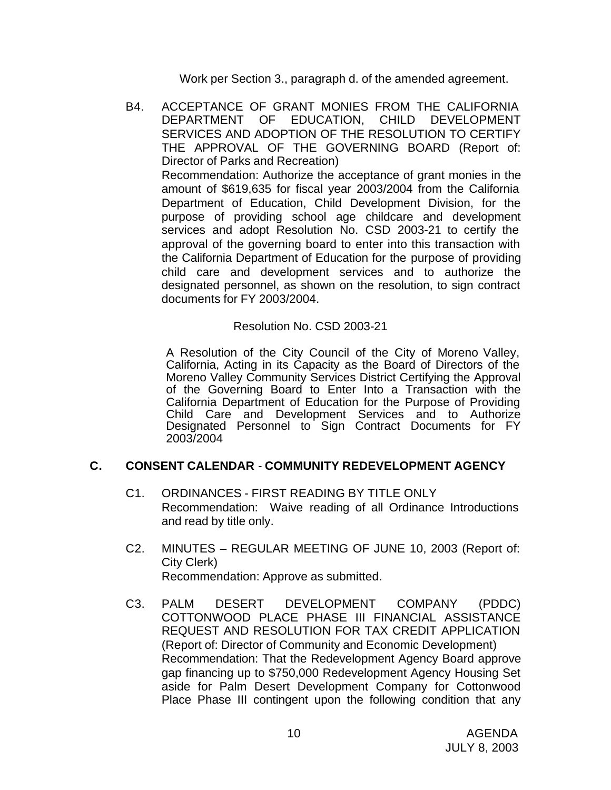Work per Section 3., paragraph d. of the amended agreement.

B4. ACCEPTANCE OF GRANT MONIES FROM THE CALIFORNIA DEPARTMENT OF EDUCATION, CHILD DEVELOPMENT SERVICES AND ADOPTION OF THE RESOLUTION TO CERTIFY THE APPROVAL OF THE GOVERNING BOARD (Report of: Director of Parks and Recreation) Recommendation: Authorize the acceptance of grant monies in the amount of \$619,635 for fiscal year 2003/2004 from the California Department of Education, Child Development Division, for the purpose of providing school age childcare and development services and adopt Resolution No. CSD 2003-21 to certify the approval of the governing board to enter into this transaction with the California Department of Education for the purpose of providing child care and development services and to authorize the designated personnel, as shown on the resolution, to sign contract documents for FY 2003/2004.

# Resolution No. CSD 2003-21

A Resolution of the City Council of the City of Moreno Valley, California, Acting in its Capacity as the Board of Directors of the Moreno Valley Community Services District Certifying the Approval of the Governing Board to Enter Into a Transaction with the California Department of Education for the Purpose of Providing Child Care and Development Services and to Authorize Designated Personnel to Sign Contract Documents for FY 2003/2004

# **C. CONSENT CALENDAR** - **COMMUNITY REDEVELOPMENT AGENCY**

- C1. ORDINANCES FIRST READING BY TITLE ONLY Recommendation: Waive reading of all Ordinance Introductions and read by title only.
- C2. MINUTES REGULAR MEETING OF JUNE 10, 2003 (Report of: City Clerk) Recommendation: Approve as submitted.
- C3. PALM DESERT DEVELOPMENT COMPANY (PDDC) COTTONWOOD PLACE PHASE III FINANCIAL ASSISTANCE REQUEST AND RESOLUTION FOR TAX CREDIT APPLICATION (Report of: Director of Community and Economic Development) Recommendation: That the Redevelopment Agency Board approve gap financing up to \$750,000 Redevelopment Agency Housing Set aside for Palm Desert Development Company for Cottonwood Place Phase III contingent upon the following condition that any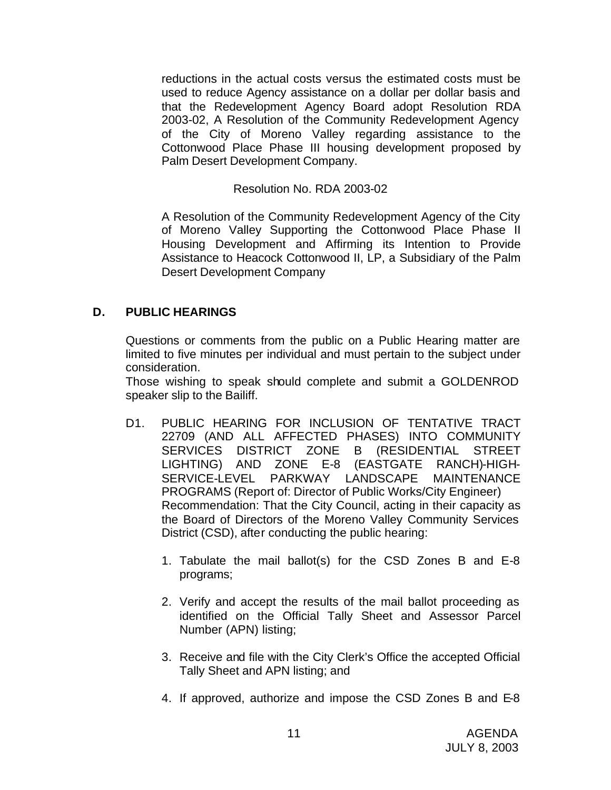reductions in the actual costs versus the estimated costs must be used to reduce Agency assistance on a dollar per dollar basis and that the Redevelopment Agency Board adopt Resolution RDA 2003-02, A Resolution of the Community Redevelopment Agency of the City of Moreno Valley regarding assistance to the Cottonwood Place Phase III housing development proposed by Palm Desert Development Company.

# Resolution No. RDA 2003-02

A Resolution of the Community Redevelopment Agency of the City of Moreno Valley Supporting the Cottonwood Place Phase II Housing Development and Affirming its Intention to Provide Assistance to Heacock Cottonwood II, LP, a Subsidiary of the Palm Desert Development Company

# **D. PUBLIC HEARINGS**

Questions or comments from the public on a Public Hearing matter are limited to five minutes per individual and must pertain to the subject under consideration.

Those wishing to speak should complete and submit a GOLDENROD speaker slip to the Bailiff.

- D1. PUBLIC HEARING FOR INCLUSION OF TENTATIVE TRACT 22709 (AND ALL AFFECTED PHASES) INTO COMMUNITY SERVICES DISTRICT ZONE B (RESIDENTIAL STREET LIGHTING) AND ZONE E-8 (EASTGATE RANCH)-HIGH-SERVICE-LEVEL PARKWAY LANDSCAPE MAINTENANCE PROGRAMS (Report of: Director of Public Works/City Engineer) Recommendation: That the City Council, acting in their capacity as the Board of Directors of the Moreno Valley Community Services District (CSD), after conducting the public hearing:
	- 1. Tabulate the mail ballot(s) for the CSD Zones B and E-8 programs;
	- 2. Verify and accept the results of the mail ballot proceeding as identified on the Official Tally Sheet and Assessor Parcel Number (APN) listing;
	- 3. Receive and file with the City Clerk's Office the accepted Official Tally Sheet and APN listing; and
	- 4. If approved, authorize and impose the CSD Zones B and E-8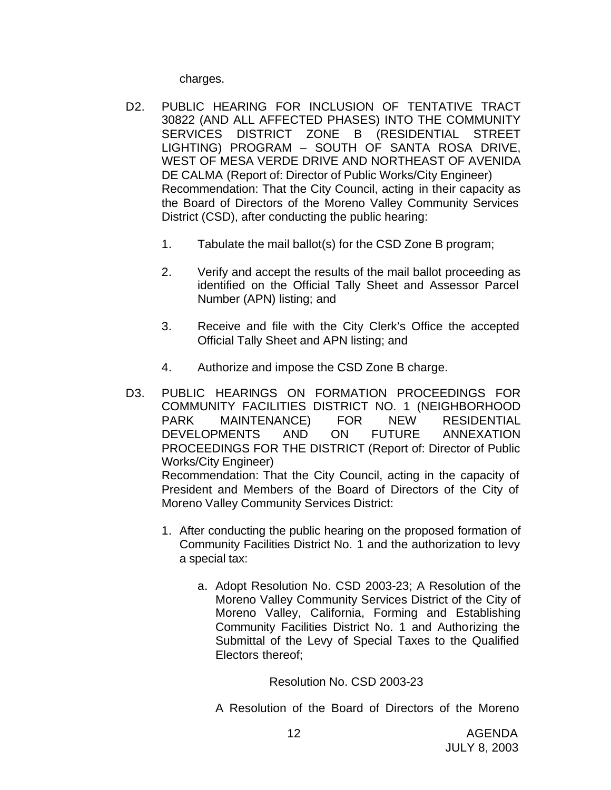charges.

- D2. PUBLIC HEARING FOR INCLUSION OF TENTATIVE TRACT 30822 (AND ALL AFFECTED PHASES) INTO THE COMMUNITY SERVICES DISTRICT ZONE B (RESIDENTIAL STREET LIGHTING) PROGRAM – SOUTH OF SANTA ROSA DRIVE, WEST OF MESA VERDE DRIVE AND NORTHEAST OF AVENIDA DE CALMA (Report of: Director of Public Works/City Engineer) Recommendation: That the City Council, acting in their capacity as the Board of Directors of the Moreno Valley Community Services District (CSD), after conducting the public hearing:
	- 1. Tabulate the mail ballot(s) for the CSD Zone B program;
	- 2. Verify and accept the results of the mail ballot proceeding as identified on the Official Tally Sheet and Assessor Parcel Number (APN) listing; and
	- 3. Receive and file with the City Clerk's Office the accepted Official Tally Sheet and APN listing; and
	- 4. Authorize and impose the CSD Zone B charge.
- D3. PUBLIC HEARINGS ON FORMATION PROCEEDINGS FOR COMMUNITY FACILITIES DISTRICT NO. 1 (NEIGHBORHOOD PARK MAINTENANCE) FOR NEW RESIDENTIAL DEVELOPMENTS AND ON FUTURE ANNEXATION PROCEEDINGS FOR THE DISTRICT (Report of: Director of Public Works/City Engineer) Recommendation: That the City Council, acting in the capacity of

President and Members of the Board of Directors of the City of Moreno Valley Community Services District:

- 1. After conducting the public hearing on the proposed formation of Community Facilities District No. 1 and the authorization to levy a special tax:
	- a. Adopt Resolution No. CSD 2003-23; A Resolution of the Moreno Valley Community Services District of the City of Moreno Valley, California, Forming and Establishing Community Facilities District No. 1 and Authorizing the Submittal of the Levy of Special Taxes to the Qualified Electors thereof;

Resolution No. CSD 2003-23

A Resolution of the Board of Directors of the Moreno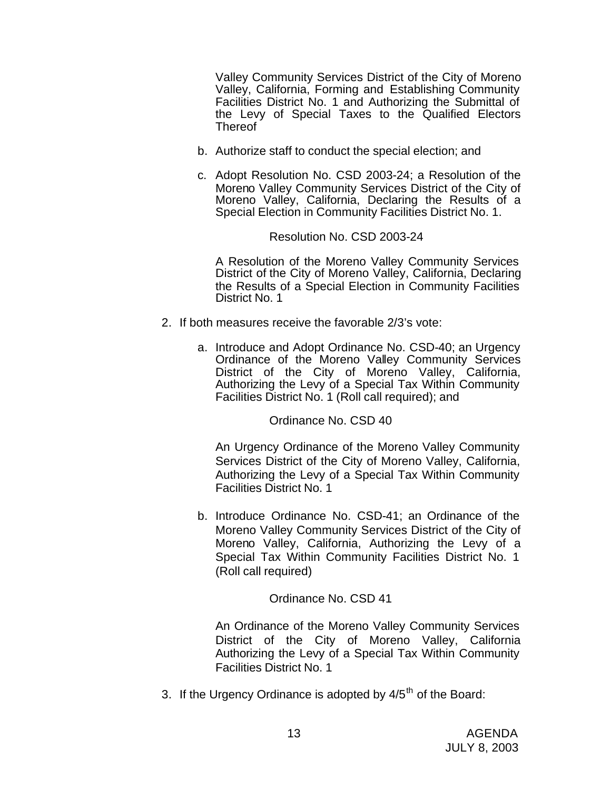Valley Community Services District of the City of Moreno Valley, California, Forming and Establishing Community Facilities District No. 1 and Authorizing the Submittal of the Levy of Special Taxes to the Qualified Electors **Thereof** 

- b. Authorize staff to conduct the special election; and
- c. Adopt Resolution No. CSD 2003-24; a Resolution of the Moreno Valley Community Services District of the City of Moreno Valley, California, Declaring the Results of a Special Election in Community Facilities District No. 1.

#### Resolution No. CSD 2003-24

A Resolution of the Moreno Valley Community Services District of the City of Moreno Valley, California, Declaring the Results of a Special Election in Community Facilities District No. 1

- 2. If both measures receive the favorable 2/3's vote:
	- a. Introduce and Adopt Ordinance No. CSD-40; an Urgency Ordinance of the Moreno Valley Community Services District of the City of Moreno Valley, California, Authorizing the Levy of a Special Tax Within Community Facilities District No. 1 (Roll call required); and

Ordinance No. CSD 40

An Urgency Ordinance of the Moreno Valley Community Services District of the City of Moreno Valley, California, Authorizing the Levy of a Special Tax Within Community Facilities District No. 1

b. Introduce Ordinance No. CSD-41; an Ordinance of the Moreno Valley Community Services District of the City of Moreno Valley, California, Authorizing the Levy of a Special Tax Within Community Facilities District No. 1 (Roll call required)

# Ordinance No. CSD 41

An Ordinance of the Moreno Valley Community Services District of the City of Moreno Valley, California Authorizing the Levy of a Special Tax Within Community Facilities District No. 1

3. If the Urgency Ordinance is adopted by  $4/5<sup>th</sup>$  of the Board: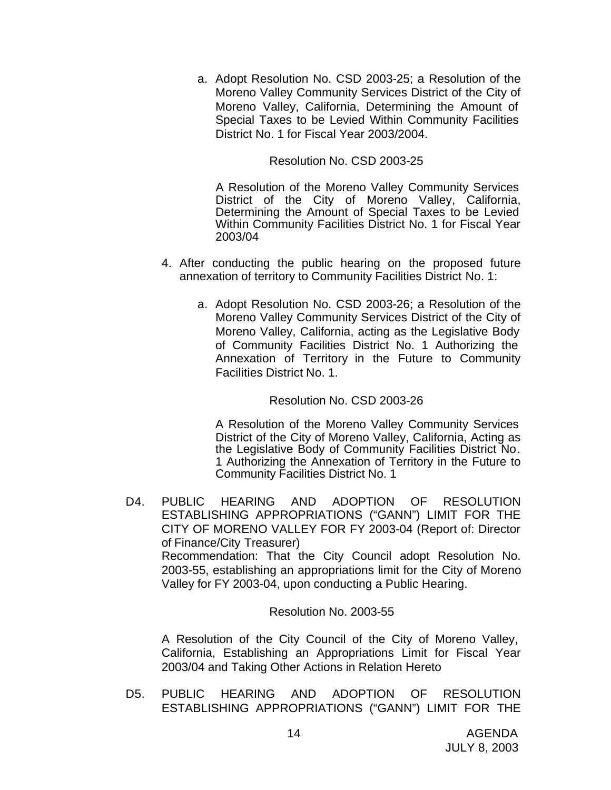a. Adopt Resolution No. CSD 2003-25; a Resolution of the Moreno Valley Community Services District of the City of Moreno Valley, California, Determining the Amount of Special Taxes to be Levied Within Community Facilities District No. 1 for Fiscal Year 2003/2004.

# Resolution No. CSD 2003-25

 A Resolution of the Moreno Valley Community Services District of the City of Moreno Valley, California, Determining the Amount of Special Taxes to be Levied Within Community Facilities District No. 1 for Fiscal Year 2003/04

- 4. After conducting the public hearing on the proposed future annexation of territory to Community Facilities District No. 1:
	- a. Adopt Resolution No. CSD 2003-26; a Resolution of the Moreno Valley Community Services District of the City of Moreno Valley, California, acting as the Legislative Body of Community Facilities District No. 1 Authorizing the Annexation of Territory in the Future to Community Facilities District No. 1.

### Resolution No. CSD 2003-26

A Resolution of the Moreno Valley Community Services District of the City of Moreno Valley, California, Acting as the Legislative Body of Community Facilities District No. 1 Authorizing the Annexation of Territory in the Future to Community Facilities District No. 1

D4. PUBLIC HEARING AND ADOPTION OF RESOLUTION ESTABLISHING APPROPRIATIONS ("GANN") LIMIT FOR THE CITY OF MORENO VALLEY FOR FY 2003-04 (Report of: Director of Finance/City Treasurer) Recommendation: That the City Council adopt Resolution No. 2003-55, establishing an appropriations limit for the City of Moreno Valley for FY 2003-04, upon conducting a Public Hearing.

#### Resolution No. 2003-55

A Resolution of the City Council of the City of Moreno Valley, California, Establishing an Appropriations Limit for Fiscal Year 2003/04 and Taking Other Actions in Relation Hereto

D5. PUBLIC HEARING AND ADOPTION OF RESOLUTION ESTABLISHING APPROPRIATIONS ("GANN") LIMIT FOR THE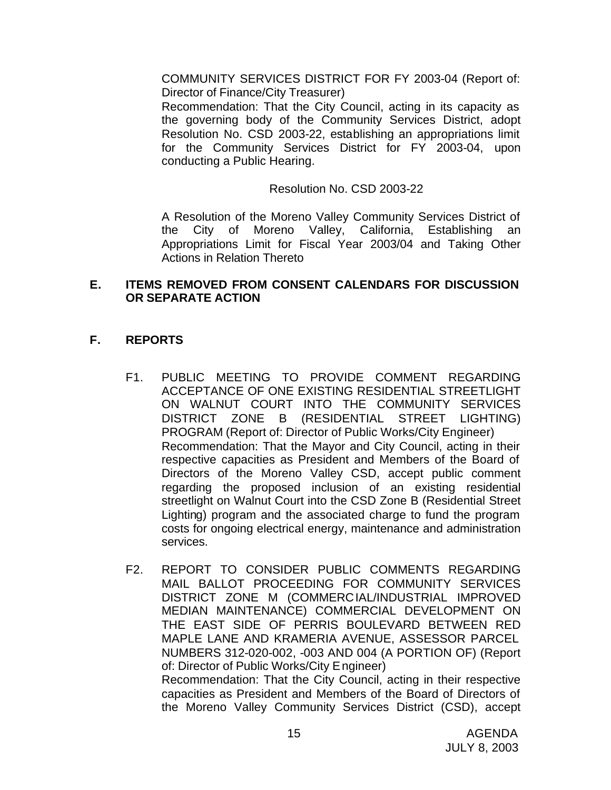COMMUNITY SERVICES DISTRICT FOR FY 2003-04 (Report of: Director of Finance/City Treasurer)

Recommendation: That the City Council, acting in its capacity as the governing body of the Community Services District, adopt Resolution No. CSD 2003-22, establishing an appropriations limit for the Community Services District for FY 2003-04, upon conducting a Public Hearing.

Resolution No. CSD 2003-22

A Resolution of the Moreno Valley Community Services District of the City of Moreno Valley, California, Establishing an Appropriations Limit for Fiscal Year 2003/04 and Taking Other Actions in Relation Thereto

# **E. ITEMS REMOVED FROM CONSENT CALENDARS FOR DISCUSSION OR SEPARATE ACTION**

# **F. REPORTS**

- F1. PUBLIC MEETING TO PROVIDE COMMENT REGARDING ACCEPTANCE OF ONE EXISTING RESIDENTIAL STREETLIGHT ON WALNUT COURT INTO THE COMMUNITY SERVICES DISTRICT ZONE B (RESIDENTIAL STREET LIGHTING) PROGRAM (Report of: Director of Public Works/City Engineer) Recommendation: That the Mayor and City Council, acting in their respective capacities as President and Members of the Board of Directors of the Moreno Valley CSD, accept public comment regarding the proposed inclusion of an existing residential streetlight on Walnut Court into the CSD Zone B (Residential Street Lighting) program and the associated charge to fund the program costs for ongoing electrical energy, maintenance and administration services.
- F2. REPORT TO CONSIDER PUBLIC COMMENTS REGARDING MAIL BALLOT PROCEEDING FOR COMMUNITY SERVICES DISTRICT ZONE M (COMMERCIAL/INDUSTRIAL IMPROVED MEDIAN MAINTENANCE) COMMERCIAL DEVELOPMENT ON THE EAST SIDE OF PERRIS BOULEVARD BETWEEN RED MAPLE LANE AND KRAMERIA AVENUE, ASSESSOR PARCEL NUMBERS 312-020-002, -003 AND 004 (A PORTION OF) (Report of: Director of Public Works/City Engineer) Recommendation: That the City Council, acting in their respective capacities as President and Members of the Board of Directors of the Moreno Valley Community Services District (CSD), accept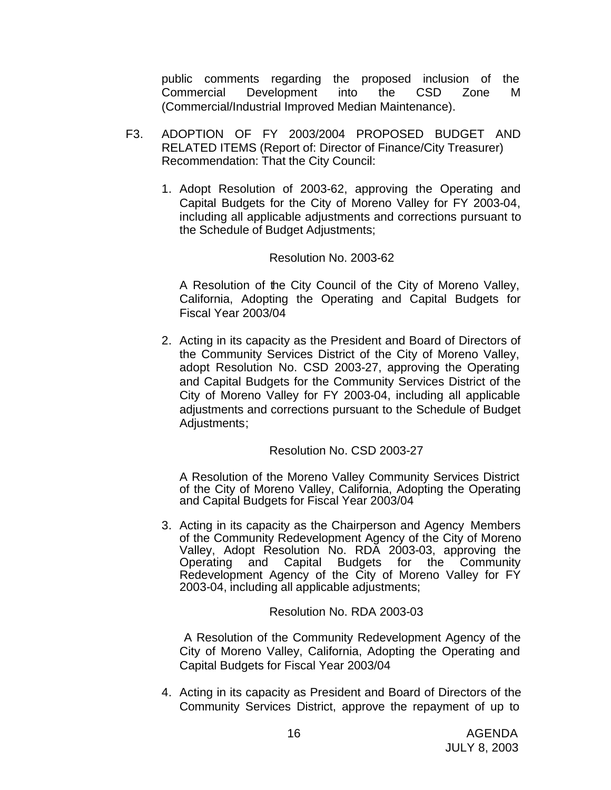public comments regarding the proposed inclusion of the Commercial Development into the CSD Zone M (Commercial/Industrial Improved Median Maintenance).

- F3. ADOPTION OF FY 2003/2004 PROPOSED BUDGET AND RELATED ITEMS (Report of: Director of Finance/City Treasurer) Recommendation: That the City Council:
	- 1. Adopt Resolution of 2003-62, approving the Operating and Capital Budgets for the City of Moreno Valley for FY 2003-04, including all applicable adjustments and corrections pursuant to the Schedule of Budget Adjustments;

# Resolution No. 2003-62

A Resolution of the City Council of the City of Moreno Valley, California, Adopting the Operating and Capital Budgets for Fiscal Year 2003/04

2. Acting in its capacity as the President and Board of Directors of the Community Services District of the City of Moreno Valley, adopt Resolution No. CSD 2003-27, approving the Operating and Capital Budgets for the Community Services District of the City of Moreno Valley for FY 2003-04, including all applicable adjustments and corrections pursuant to the Schedule of Budget Adjustments;

# Resolution No. CSD 2003-27

A Resolution of the Moreno Valley Community Services District of the City of Moreno Valley, California, Adopting the Operating and Capital Budgets for Fiscal Year 2003/04

3. Acting in its capacity as the Chairperson and Agency Members of the Community Redevelopment Agency of the City of Moreno Valley, Adopt Resolution No. RDA 2003-03, approving the Operating and Capital Budgets for the Community Redevelopment Agency of the City of Moreno Valley for FY 2003-04, including all applicable adjustments;

#### Resolution No. RDA 2003-03

A Resolution of the Community Redevelopment Agency of the City of Moreno Valley, California, Adopting the Operating and Capital Budgets for Fiscal Year 2003/04

4. Acting in its capacity as President and Board of Directors of the Community Services District, approve the repayment of up to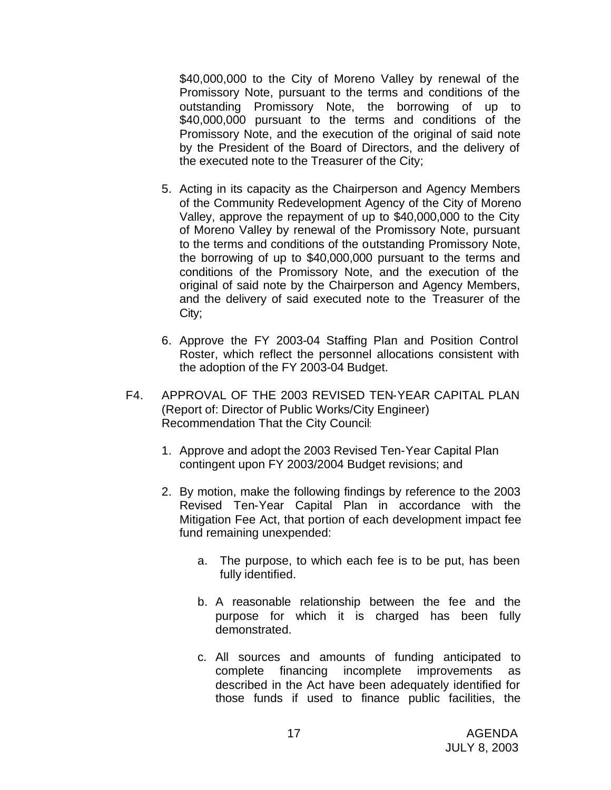\$40,000,000 to the City of Moreno Valley by renewal of the Promissory Note, pursuant to the terms and conditions of the outstanding Promissory Note, the borrowing of up to \$40,000,000 pursuant to the terms and conditions of the Promissory Note, and the execution of the original of said note by the President of the Board of Directors, and the delivery of the executed note to the Treasurer of the City;

- 5. Acting in its capacity as the Chairperson and Agency Members of the Community Redevelopment Agency of the City of Moreno Valley, approve the repayment of up to \$40,000,000 to the City of Moreno Valley by renewal of the Promissory Note, pursuant to the terms and conditions of the outstanding Promissory Note, the borrowing of up to \$40,000,000 pursuant to the terms and conditions of the Promissory Note, and the execution of the original of said note by the Chairperson and Agency Members, and the delivery of said executed note to the Treasurer of the City;
- 6. Approve the FY 2003-04 Staffing Plan and Position Control Roster, which reflect the personnel allocations consistent with the adoption of the FY 2003-04 Budget.
- F4. APPROVAL OF THE 2003 REVISED TEN-YEAR CAPITAL PLAN (Report of: Director of Public Works/City Engineer) Recommendation That the City Council:
	- 1. Approve and adopt the 2003 Revised Ten-Year Capital Plan contingent upon FY 2003/2004 Budget revisions; and
	- 2. By motion, make the following findings by reference to the 2003 Revised Ten-Year Capital Plan in accordance with the Mitigation Fee Act, that portion of each development impact fee fund remaining unexpended:
		- a. The purpose, to which each fee is to be put, has been fully identified.
		- b. A reasonable relationship between the fee and the purpose for which it is charged has been fully demonstrated.
		- c. All sources and amounts of funding anticipated to complete financing incomplete improvements as described in the Act have been adequately identified for those funds if used to finance public facilities, the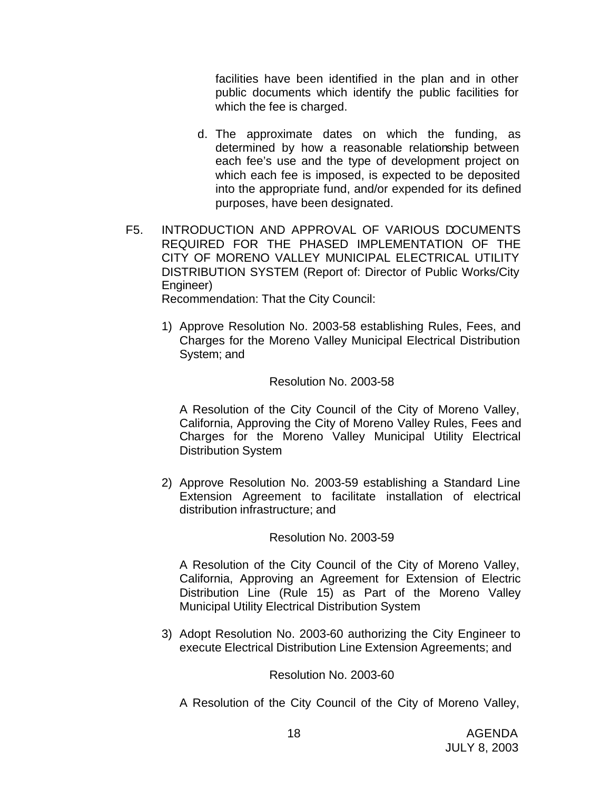facilities have been identified in the plan and in other public documents which identify the public facilities for which the fee is charged.

- d. The approximate dates on which the funding, as determined by how a reasonable relationship between each fee's use and the type of development project on which each fee is imposed, is expected to be deposited into the appropriate fund, and/or expended for its defined purposes, have been designated.
- F5. INTRODUCTION AND APPROVAL OF VARIOUS DOCUMENTS REQUIRED FOR THE PHASED IMPLEMENTATION OF THE CITY OF MORENO VALLEY MUNICIPAL ELECTRICAL UTILITY DISTRIBUTION SYSTEM (Report of: Director of Public Works/City Engineer) Recommendation: That the City Council:

1) Approve Resolution No. 2003-58 establishing Rules, Fees, and Charges for the Moreno Valley Municipal Electrical Distribution

System; and

# Resolution No. 2003-58

A Resolution of the City Council of the City of Moreno Valley, California, Approving the City of Moreno Valley Rules, Fees and Charges for the Moreno Valley Municipal Utility Electrical Distribution System

2) Approve Resolution No. 2003-59 establishing a Standard Line Extension Agreement to facilitate installation of electrical distribution infrastructure; and

# Resolution No. 2003-59

A Resolution of the City Council of the City of Moreno Valley, California, Approving an Agreement for Extension of Electric Distribution Line (Rule 15) as Part of the Moreno Valley Municipal Utility Electrical Distribution System

3) Adopt Resolution No. 2003-60 authorizing the City Engineer to execute Electrical Distribution Line Extension Agreements; and

Resolution No. 2003-60

A Resolution of the City Council of the City of Moreno Valley,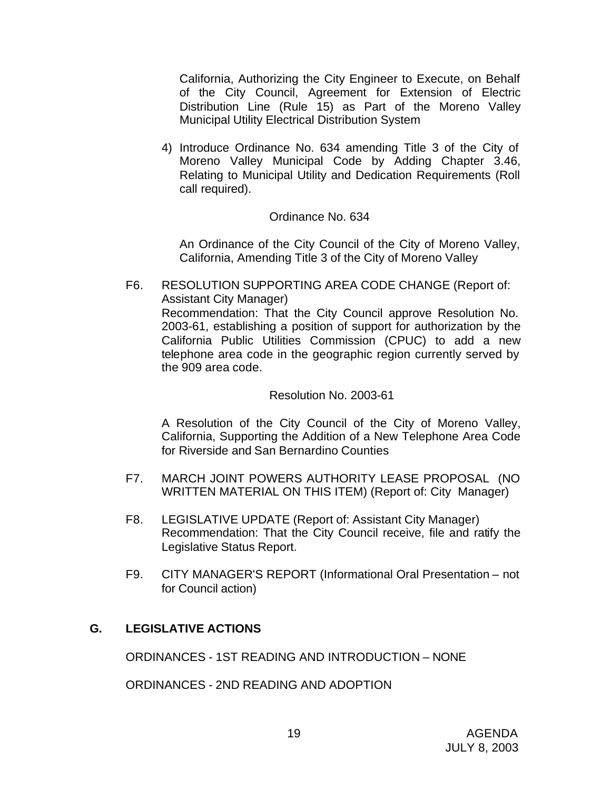California, Authorizing the City Engineer to Execute, on Behalf of the City Council, Agreement for Extension of Electric Distribution Line (Rule 15) as Part of the Moreno Valley Municipal Utility Electrical Distribution System

4) Introduce Ordinance No. 634 amending Title 3 of the City of Moreno Valley Municipal Code by Adding Chapter 3.46, Relating to Municipal Utility and Dedication Requirements (Roll call required).

# Ordinance No. 634

An Ordinance of the City Council of the City of Moreno Valley, California, Amending Title 3 of the City of Moreno Valley

F6. RESOLUTION SUPPORTING AREA CODE CHANGE (Report of: Assistant City Manager) Recommendation: That the City Council approve Resolution No. 2003-61, establishing a position of support for authorization by the California Public Utilities Commission (CPUC) to add a new telephone area code in the geographic region currently served by the 909 area code.

#### Resolution No. 2003-61

A Resolution of the City Council of the City of Moreno Valley, California, Supporting the Addition of a New Telephone Area Code for Riverside and San Bernardino Counties

- F7. MARCH JOINT POWERS AUTHORITY LEASE PROPOSAL (NO WRITTEN MATERIAL ON THIS ITEM) (Report of: City Manager)
- F8. LEGISLATIVE UPDATE (Report of: Assistant City Manager) Recommendation: That the City Council receive, file and ratify the Legislative Status Report.
- F9. CITY MANAGER'S REPORT (Informational Oral Presentation not for Council action)

#### **G. LEGISLATIVE ACTIONS**

ORDINANCES - 1ST READING AND INTRODUCTION – NONE

ORDINANCES - 2ND READING AND ADOPTION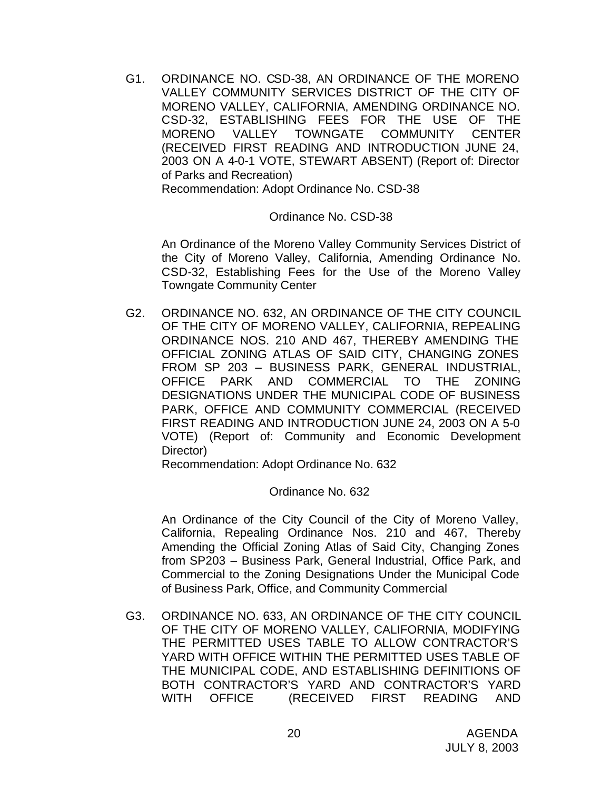G1. ORDINANCE NO. CSD-38, AN ORDINANCE OF THE MORENO VALLEY COMMUNITY SERVICES DISTRICT OF THE CITY OF MORENO VALLEY, CALIFORNIA, AMENDING ORDINANCE NO. CSD-32, ESTABLISHING FEES FOR THE USE OF THE MORENO VALLEY TOWNGATE COMMUNITY CENTER (RECEIVED FIRST READING AND INTRODUCTION JUNE 24, 2003 ON A 4-0-1 VOTE, STEWART ABSENT) (Report of: Director of Parks and Recreation) Recommendation: Adopt Ordinance No. CSD-38

### Ordinance No. CSD-38

An Ordinance of the Moreno Valley Community Services District of the City of Moreno Valley, California, Amending Ordinance No. CSD-32, Establishing Fees for the Use of the Moreno Valley Towngate Community Center

G2. ORDINANCE NO. 632, AN ORDINANCE OF THE CITY COUNCIL OF THE CITY OF MORENO VALLEY, CALIFORNIA, REPEALING ORDINANCE NOS. 210 AND 467, THEREBY AMENDING THE OFFICIAL ZONING ATLAS OF SAID CITY, CHANGING ZONES FROM SP 203 – BUSINESS PARK, GENERAL INDUSTRIAL, OFFICE PARK AND COMMERCIAL TO THE ZONING DESIGNATIONS UNDER THE MUNICIPAL CODE OF BUSINESS PARK, OFFICE AND COMMUNITY COMMERCIAL (RECEIVED FIRST READING AND INTRODUCTION JUNE 24, 2003 ON A 5-0 VOTE) (Report of: Community and Economic Development Director)

Recommendation: Adopt Ordinance No. 632

# Ordinance No. 632

An Ordinance of the City Council of the City of Moreno Valley, California, Repealing Ordinance Nos. 210 and 467, Thereby Amending the Official Zoning Atlas of Said City, Changing Zones from SP203 – Business Park, General Industrial, Office Park, and Commercial to the Zoning Designations Under the Municipal Code of Business Park, Office, and Community Commercial

G3. ORDINANCE NO. 633, AN ORDINANCE OF THE CITY COUNCIL OF THE CITY OF MORENO VALLEY, CALIFORNIA, MODIFYING THE PERMITTED USES TABLE TO ALLOW CONTRACTOR'S YARD WITH OFFICE WITHIN THE PERMITTED USES TABLE OF THE MUNICIPAL CODE, AND ESTABLISHING DEFINITIONS OF BOTH CONTRACTOR'S YARD AND CONTRACTOR'S YARD WITH OFFICE (RECEIVED FIRST READING AND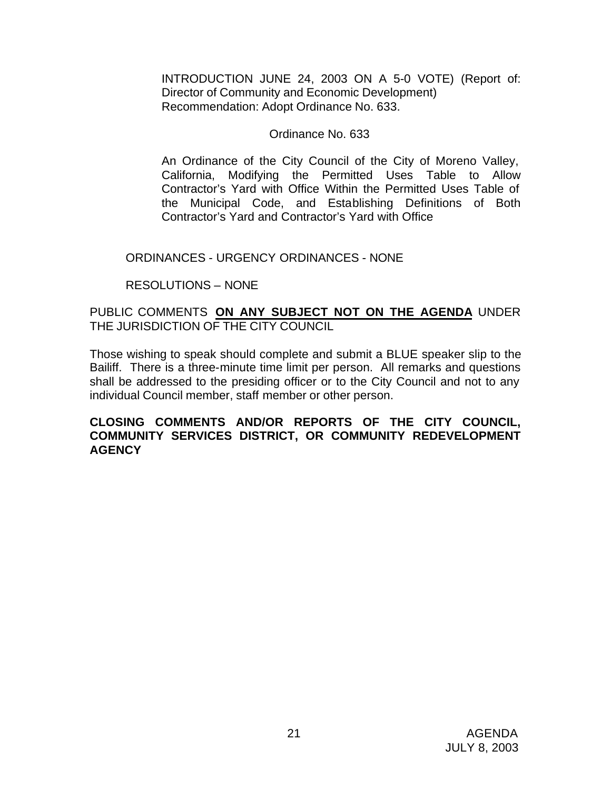INTRODUCTION JUNE 24, 2003 ON A 5-0 VOTE) (Report of: Director of Community and Economic Development) Recommendation: Adopt Ordinance No. 633.

### Ordinance No. 633

An Ordinance of the City Council of the City of Moreno Valley, California, Modifying the Permitted Uses Table to Allow Contractor's Yard with Office Within the Permitted Uses Table of the Municipal Code, and Establishing Definitions of Both Contractor's Yard and Contractor's Yard with Office

### ORDINANCES - URGENCY ORDINANCES - NONE

# RESOLUTIONS – NONE

# PUBLIC COMMENTS **ON ANY SUBJECT NOT ON THE AGENDA** UNDER THE JURISDICTION OF THE CITY COUNCIL

Those wishing to speak should complete and submit a BLUE speaker slip to the Bailiff. There is a three-minute time limit per person. All remarks and questions shall be addressed to the presiding officer or to the City Council and not to any individual Council member, staff member or other person.

### **CLOSING COMMENTS AND/OR REPORTS OF THE CITY COUNCIL, COMMUNITY SERVICES DISTRICT, OR COMMUNITY REDEVELOPMENT AGENCY**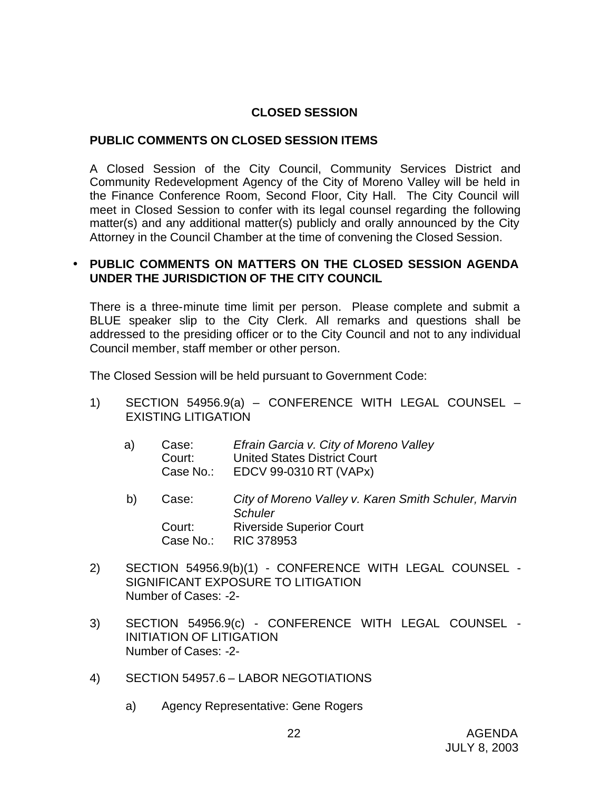# **CLOSED SESSION**

# **PUBLIC COMMENTS ON CLOSED SESSION ITEMS**

A Closed Session of the City Council, Community Services District and Community Redevelopment Agency of the City of Moreno Valley will be held in the Finance Conference Room, Second Floor, City Hall. The City Council will meet in Closed Session to confer with its legal counsel regarding the following matter(s) and any additional matter(s) publicly and orally announced by the City Attorney in the Council Chamber at the time of convening the Closed Session.

# • **PUBLIC COMMENTS ON MATTERS ON THE CLOSED SESSION AGENDA UNDER THE JURISDICTION OF THE CITY COUNCIL**

There is a three-minute time limit per person. Please complete and submit a BLUE speaker slip to the City Clerk. All remarks and questions shall be addressed to the presiding officer or to the City Council and not to any individual Council member, staff member or other person.

The Closed Session will be held pursuant to Government Code:

- 1) SECTION 54956.9(a) CONFERENCE WITH LEGAL COUNSEL EXISTING LITIGATION
	- a) Case: *Efrain Garcia v. City of Moreno Valley* Court: United States District Court Case No.: EDCV 99-0310 RT (VAPx)
	- b) Case: *City of Moreno Valley v. Karen Smith Schuler, Marvin Schuler* Court: Riverside Superior Court Case No.: RIC 378953
- 2) SECTION 54956.9(b)(1) CONFERENCE WITH LEGAL COUNSEL SIGNIFICANT EXPOSURE TO LITIGATION Number of Cases: -2-
- 3) SECTION 54956.9(c) CONFERENCE WITH LEGAL COUNSEL INITIATION OF LITIGATION Number of Cases: -2-
- 4) SECTION 54957.6 LABOR NEGOTIATIONS
	- a) Agency Representative: Gene Rogers